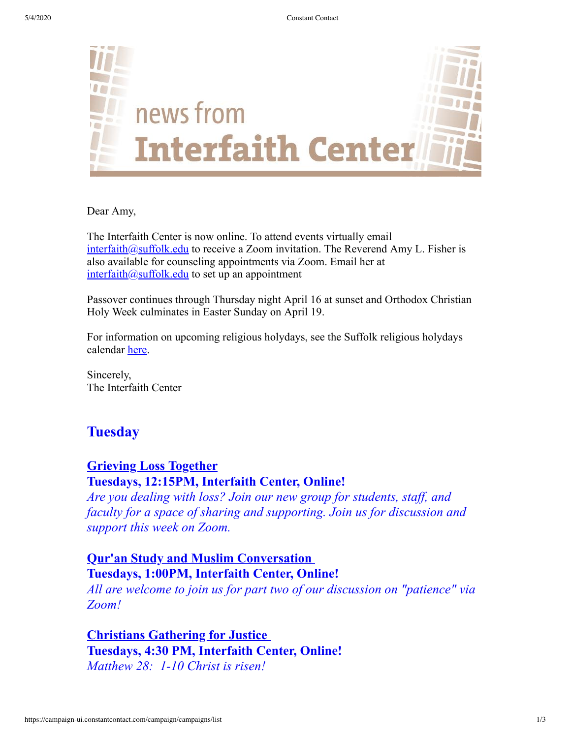

Dear Amy,

The Interfaith Center is now online. To attend events virtually email  $interfaith@suffolk.edu$  to receive a Zoom invitation. The Reverend Amy L. Fisher is also available for counseling appointments via Zoom. Email her at  $interfaith@suit.$ edu to set up an appointment

Passover continues through Thursday night April 16 at sunset and Orthodox Christian Holy Week culminates in Easter Sunday on April 19.

For information on upcoming religious holydays, see the Suffolk religious holydays calendar [here.](https://www.suffolk.edu/student-life/student-involvement/interfaith-religious-life/religious-life-events)

Sincerely, The Interfaith Center

# **Tuesday**

## **Grieving Loss Together**

#### **Tuesdays, 12:15PM, Interfaith Center, Online!**

*Are you dealing with loss? Join our new group for students, staff, and faculty for a space of sharing and supporting. Join us for discussion and support this week on Zoom.*

## **Qur'an Study and Muslim Conversation Tuesdays, 1:00PM, Interfaith Center, Online!**

*All are welcome to join us for part two of our discussion on "patience" via Zoom!*

**Christians Gathering for Justice Tuesdays, 4:30 PM, Interfaith Center, Online!** *Matthew 28: 1-10 Christ is risen!*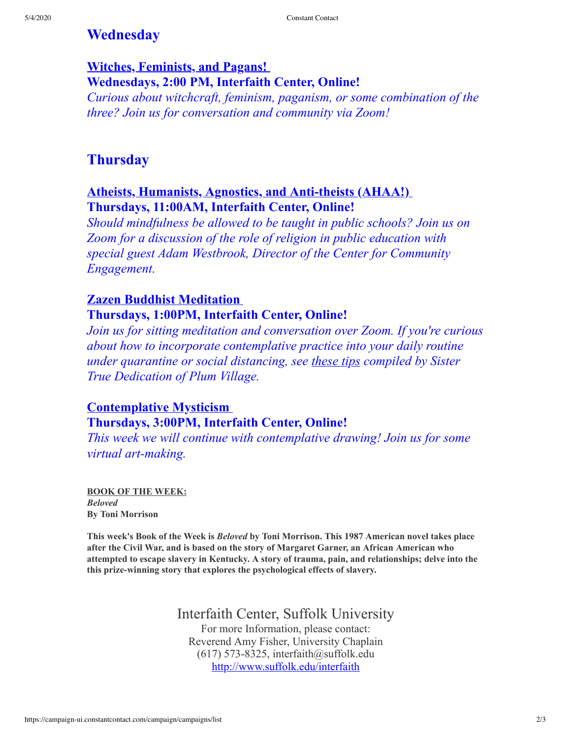# **Wednesday**

## **Witches, Feminists, and Pagans! Wednesdays, 2:00 PM, Interfaith Center, Online!**

*Curious about witchcraft, feminism, paganism, or some combination of the three? Join us for conversation and community via Zoom!*

# **Thursday**

#### **Atheists, Humanists, Agnostics, and Anti-theists (AHAA!) Thursdays, 11:00AM, Interfaith Center, Online!**

*Should mindfulness be allowed to be taught in public schools? Join us on Zoom for a discussion of the role of religion in public education with special guest Adam Westbrook, Director of the Center for Community Engagement.*

#### **Zazen Buddhist Meditation Thursdays, 1:00PM, Interfaith Center, Online!**

*Join us for sitting meditation and conversation over Zoom. If you're curious about how to incorporate contemplative practice into your daily routine under quarantine or social distancing, see [these](https://plumvillage.org/articles/a-zen-masters-tips-for-staying-sane-in-challenging-times/?fbclid=IwAR2XjCXyPPepSNdxraksAH3S2pNCmlwg8MKmM86Ib8LBYsViWlczdRo8QCo) tips compiled by Sister True Dedication of Plum Village.*

## **Contemplative Mysticism Thursdays, 3:00PM, Interfaith Center, Online!**

*This week we will continue with contemplative drawing! Join us for some virtual art-making.*

**BOOK OF THE WEEK:** *Beloved* **By Toni Morrison**

**This week's Book of the Week is** *Beloved* **by Toni Morrison. This 1987 American novel takes place after the Civil War, and is based on the story of Margaret Garner, an African American who attempted to escape slavery in Kentucky. A story of trauma, pain, and relationships; delve into the this prize-winning story that explores the psychological effects of slavery.**

### Interfaith Center, Suffolk University

For more Information, please contact: Reverend Amy Fisher, University Chaplain  $(617)$  573-8325, interfaith@suffolk.edu <http://www.suffolk.edu/interfaith>